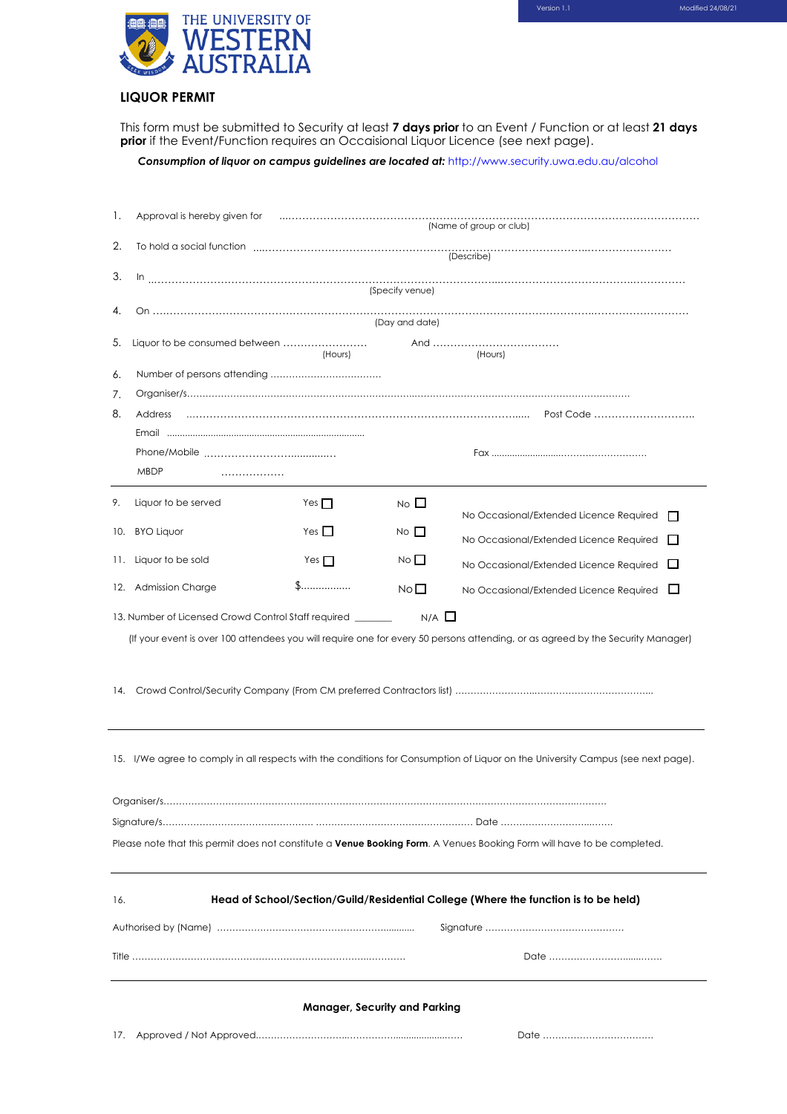

# **LIQUOR PERMIT**

This form must be submitted to Security at least **7 days prior** to an Event / Function or at least **21 days prior** if the Event/Function requires an Occaisional Liquor Licence (see next page).

*Consumption of liquor on campus guidelines are located at:* http://www.security.uwa.edu.au/alcohol

| Ι.                                                                                                                               | (Name of group or club)                                                                                                                                                                                                                     |            |                |                                         |  |
|----------------------------------------------------------------------------------------------------------------------------------|---------------------------------------------------------------------------------------------------------------------------------------------------------------------------------------------------------------------------------------------|------------|----------------|-----------------------------------------|--|
| 2.                                                                                                                               | To hold a social function entertainment and contained a social function of the state of the state of the state of the state of the state of the state of the state of the state of the state of the state of the state of the<br>(Describe) |            |                |                                         |  |
| 3.                                                                                                                               |                                                                                                                                                                                                                                             |            |                |                                         |  |
|                                                                                                                                  | (Specify venue)                                                                                                                                                                                                                             |            |                |                                         |  |
|                                                                                                                                  | (Day and date)                                                                                                                                                                                                                              |            |                |                                         |  |
| 5.                                                                                                                               | Liquor to be consumed between                                                                                                                                                                                                               | (Hours)    |                | (Hours)                                 |  |
| 6.                                                                                                                               |                                                                                                                                                                                                                                             |            |                |                                         |  |
| 7.                                                                                                                               |                                                                                                                                                                                                                                             |            |                |                                         |  |
| 8.                                                                                                                               | Address                                                                                                                                                                                                                                     |            |                |                                         |  |
|                                                                                                                                  |                                                                                                                                                                                                                                             |            |                |                                         |  |
|                                                                                                                                  |                                                                                                                                                                                                                                             |            |                |                                         |  |
| <b>MBDP</b><br>.                                                                                                                 |                                                                                                                                                                                                                                             |            |                |                                         |  |
| 9.                                                                                                                               | Liquor to be served                                                                                                                                                                                                                         | Yes $\Box$ | $No$ $\Box$    | No Occasional/Extended Licence Required |  |
|                                                                                                                                  | 10. BYO Liquor                                                                                                                                                                                                                              | Yes        | $No$ $\Box$    | No Occasional/Extended Licence Required |  |
|                                                                                                                                  | 11. Liquor to be sold                                                                                                                                                                                                                       | Yes $\Box$ | $N \circ \Box$ | No Occasional/Extended Licence Required |  |
|                                                                                                                                  | 12. Admission Charge                                                                                                                                                                                                                        | \$         | $No$ $\Box$    | $\Box$                                  |  |
| No Occasional/Extended Licence Required                                                                                          |                                                                                                                                                                                                                                             |            |                |                                         |  |
| (If your event is over 100 attendees you will require one for every 50 persons attending, or as agreed by the Security Manager)  |                                                                                                                                                                                                                                             |            |                |                                         |  |
| 15. I/We agree to comply in all respects with the conditions for Consumption of Liquor on the University Campus (see next page). |                                                                                                                                                                                                                                             |            |                |                                         |  |
|                                                                                                                                  |                                                                                                                                                                                                                                             |            |                |                                         |  |
|                                                                                                                                  |                                                                                                                                                                                                                                             |            |                |                                         |  |
| Please note that this permit does not constitute a Venue Booking Form. A Venues Booking Form will have to be completed.          |                                                                                                                                                                                                                                             |            |                |                                         |  |
| Head of School/Section/Guild/Residential College (Where the function is to be held)<br>16.                                       |                                                                                                                                                                                                                                             |            |                |                                         |  |
|                                                                                                                                  |                                                                                                                                                                                                                                             |            |                |                                         |  |
|                                                                                                                                  |                                                                                                                                                                                                                                             |            |                |                                         |  |
| <b>Manager, Security and Parking</b>                                                                                             |                                                                                                                                                                                                                                             |            |                |                                         |  |
| 17.                                                                                                                              |                                                                                                                                                                                                                                             |            |                |                                         |  |